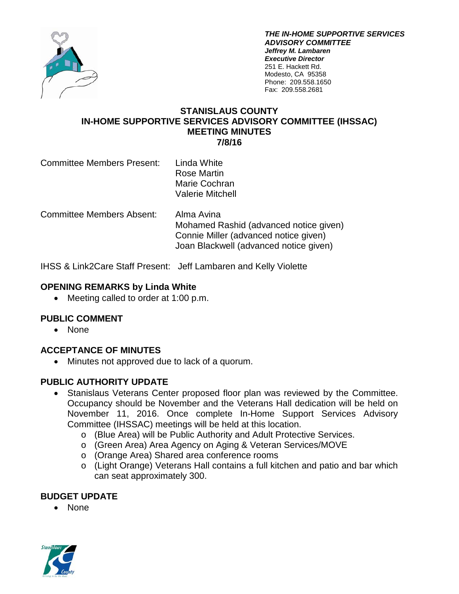

*THE IN-HOME SUPPORTIVE SERVICES ADVISORY COMMITTEE Jeffrey M. Lambaren Executive Director* 251 E. Hackett Rd. Modesto, CA 95358 Phone: 209.558.1650 Fax: 209.558.2681

### **STANISLAUS COUNTY IN-HOME SUPPORTIVE SERVICES ADVISORY COMMITTEE (IHSSAC) MEETING MINUTES 7/8/16**

| <b>Committee Members Present:</b> | Linda White             |
|-----------------------------------|-------------------------|
|                                   | Rose Martin             |
|                                   | Marie Cochran           |
|                                   | <b>Valerie Mitchell</b> |

Committee Members Absent: Alma Avina Mohamed Rashid (advanced notice given) Connie Miller (advanced notice given) Joan Blackwell (advanced notice given)

IHSS & Link2Care Staff Present: Jeff Lambaren and Kelly Violette

## **OPENING REMARKS by Linda White**

• Meeting called to order at 1:00 p.m.

# **PUBLIC COMMENT**

• None

# **ACCEPTANCE OF MINUTES**

• Minutes not approved due to lack of a quorum.

## **PUBLIC AUTHORITY UPDATE**

- Stanislaus Veterans Center proposed floor plan was reviewed by the Committee. Occupancy should be November and the Veterans Hall dedication will be held on November 11, 2016. Once complete In-Home Support Services Advisory Committee (IHSSAC) meetings will be held at this location.
	- o (Blue Area) will be Public Authority and Adult Protective Services.
	- o (Green Area) Area Agency on Aging & Veteran Services/MOVE
	- o (Orange Area) Shared area conference rooms
	- o (Light Orange) Veterans Hall contains a full kitchen and patio and bar which can seat approximately 300.

## **BUDGET UPDATE**

• None